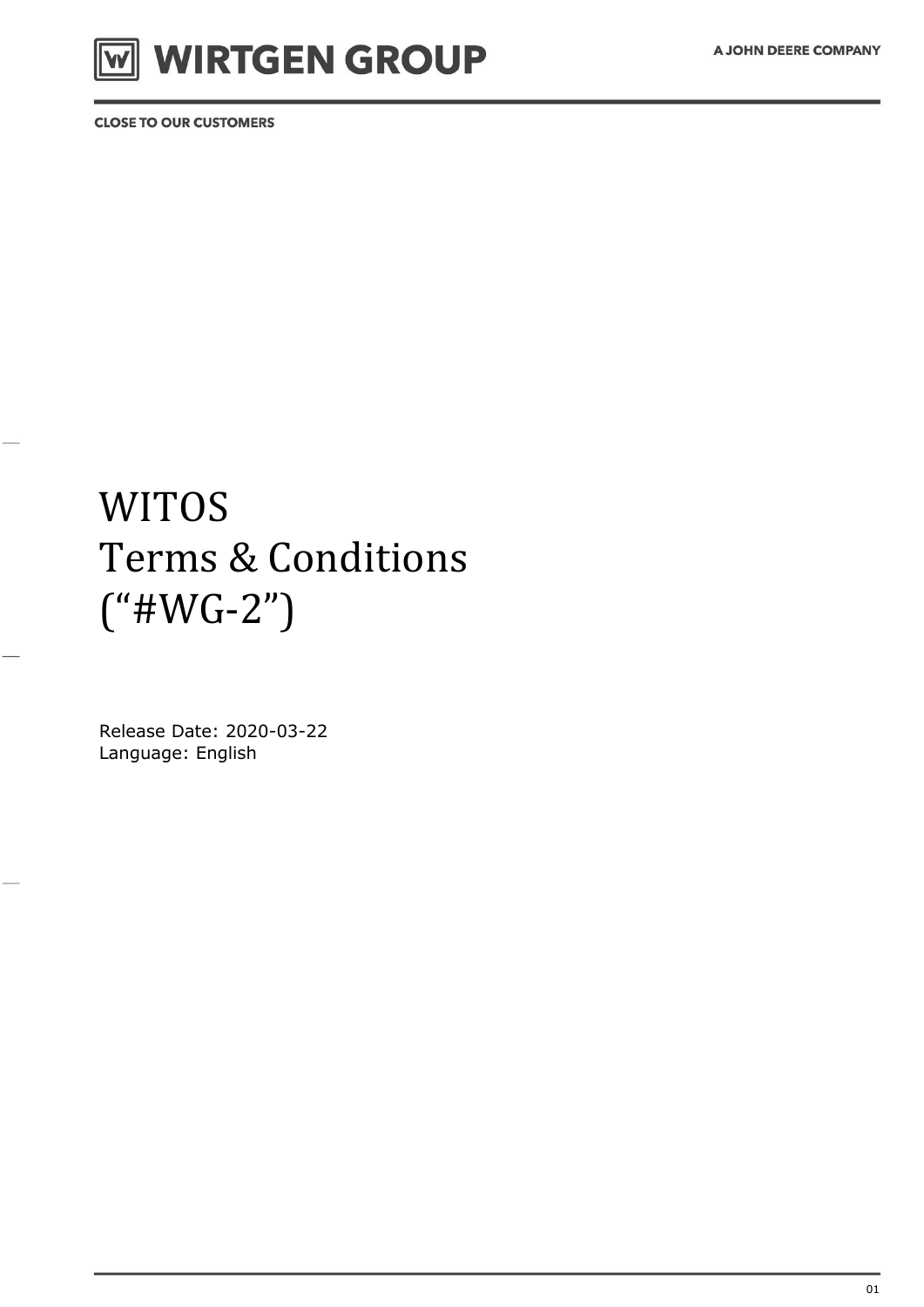# WIRTGEN GROUP

**CLOSE TO OUR CUSTOMERS** 

## **WITOS** Terms & Conditions  $("#WG-2")$

Release Date: 2020-03-22 Language: English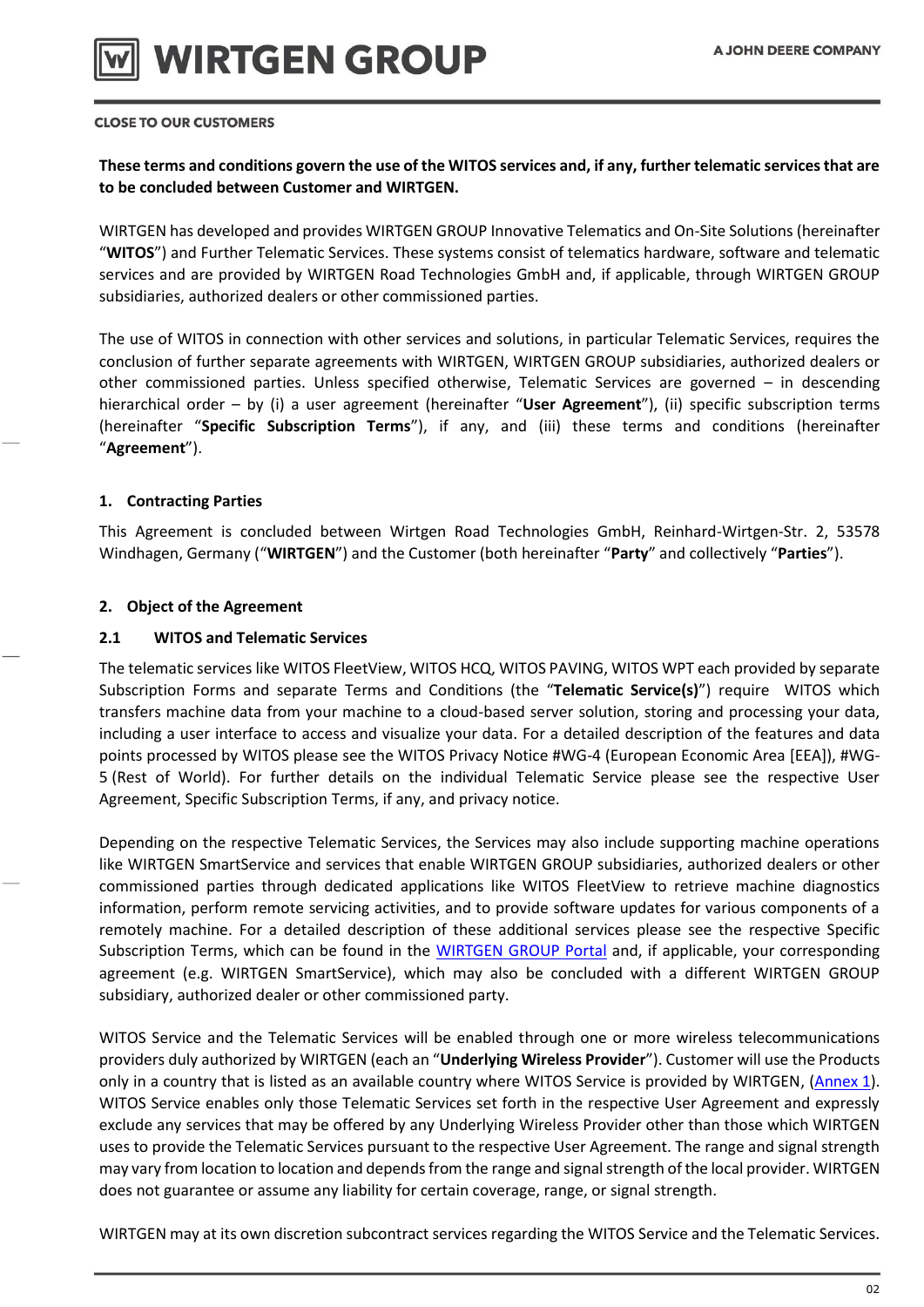

## **These terms and conditions govern the use of the WITOS services and, if any, further telematic services that are to be concluded between Customer and WIRTGEN.**

WIRTGEN has developed and provides WIRTGEN GROUP Innovative Telematics and On-Site Solutions (hereinafter "**WITOS**") and Further Telematic Services. These systems consist of telematics hardware, software and telematic services and are provided by WIRTGEN Road Technologies GmbH and, if applicable, through WIRTGEN GROUP subsidiaries, authorized dealers or other commissioned parties.

The use of WITOS in connection with other services and solutions, in particular Telematic Services, requires the conclusion of further separate agreements with WIRTGEN, WIRTGEN GROUP subsidiaries, authorized dealers or other commissioned parties. Unless specified otherwise, Telematic Services are governed – in descending hierarchical order – by (i) a user agreement (hereinafter "**User Agreement**"), (ii) specific subscription terms (hereinafter "**Specific Subscription Terms**"), if any, and (iii) these terms and conditions (hereinafter "**Agreement**").

## **1. Contracting Parties**

This Agreement is concluded between Wirtgen Road Technologies GmbH, Reinhard-Wirtgen-Str. 2, 53578 Windhagen, Germany ("**WIRTGEN**") and the Customer (both hereinafter "**Party**" and collectively "**Parties**").

## **2. Object of the Agreement**

## **2.1 WITOS and Telematic Services**

The telematic services like WITOS FleetView, WITOS HCQ, WITOS PAVING, WITOS WPT each provided by separate Subscription Forms and separate Terms and Conditions (the "**Telematic Service(s)**") require WITOS which transfers machine data from your machine to a cloud-based server solution, storing and processing your data, including a user interface to access and visualize your data. For a detailed description of the features and data points processed by WITOS please see the WITOS Privacy Notice #WG-4 (European Economic Area [EEA]), #WG-5 (Rest of World). For further details on the individual Telematic Service please see the respective User Agreement, Specific Subscription Terms, if any, and privacy notice.

Depending on the respective Telematic Services, the Services may also include supporting machine operations like WIRTGEN SmartService and services that enable WIRTGEN GROUP subsidiaries, authorized dealers or other commissioned parties through dedicated applications like WITOS FleetView to retrieve machine diagnostics information, perform remote servicing activities, and to provide software updates for various components of a remotely machine. For a detailed description of these additional services please see the respective Specific Subscription Terms, which can be found in the [WIRTGEN GROUP Portal](https://news.cdn.wirtgen-group.com/witos_license_docs) and, if applicable, your corresponding agreement (e.g. WIRTGEN SmartService), which may also be concluded with a different WIRTGEN GROUP subsidiary, authorized dealer or other commissioned party.

WITOS Service and the Telematic Services will be enabled through one or more wireless telecommunications providers duly authorized by WIRTGEN (each an "**Underlying Wireless Provider**"). Customer will use the Products only in a country that is listed as an available country where WITOS Service is provided by WIRTGEN, [\(Annex](https://news.cdn.wirtgen-group.com/witos_license_docs) 1). WITOS Service enables only those Telematic Services set forth in the respective User Agreement and expressly exclude any services that may be offered by any Underlying Wireless Provider other than those which WIRTGEN uses to provide the Telematic Services pursuant to the respective User Agreement. The range and signal strength may vary from location to location and depends from the range and signal strength of the local provider. WIRTGEN does not guarantee or assume any liability for certain coverage, range, or signal strength.

WIRTGEN may at its own discretion subcontract services regarding the WITOS Service and the Telematic Services.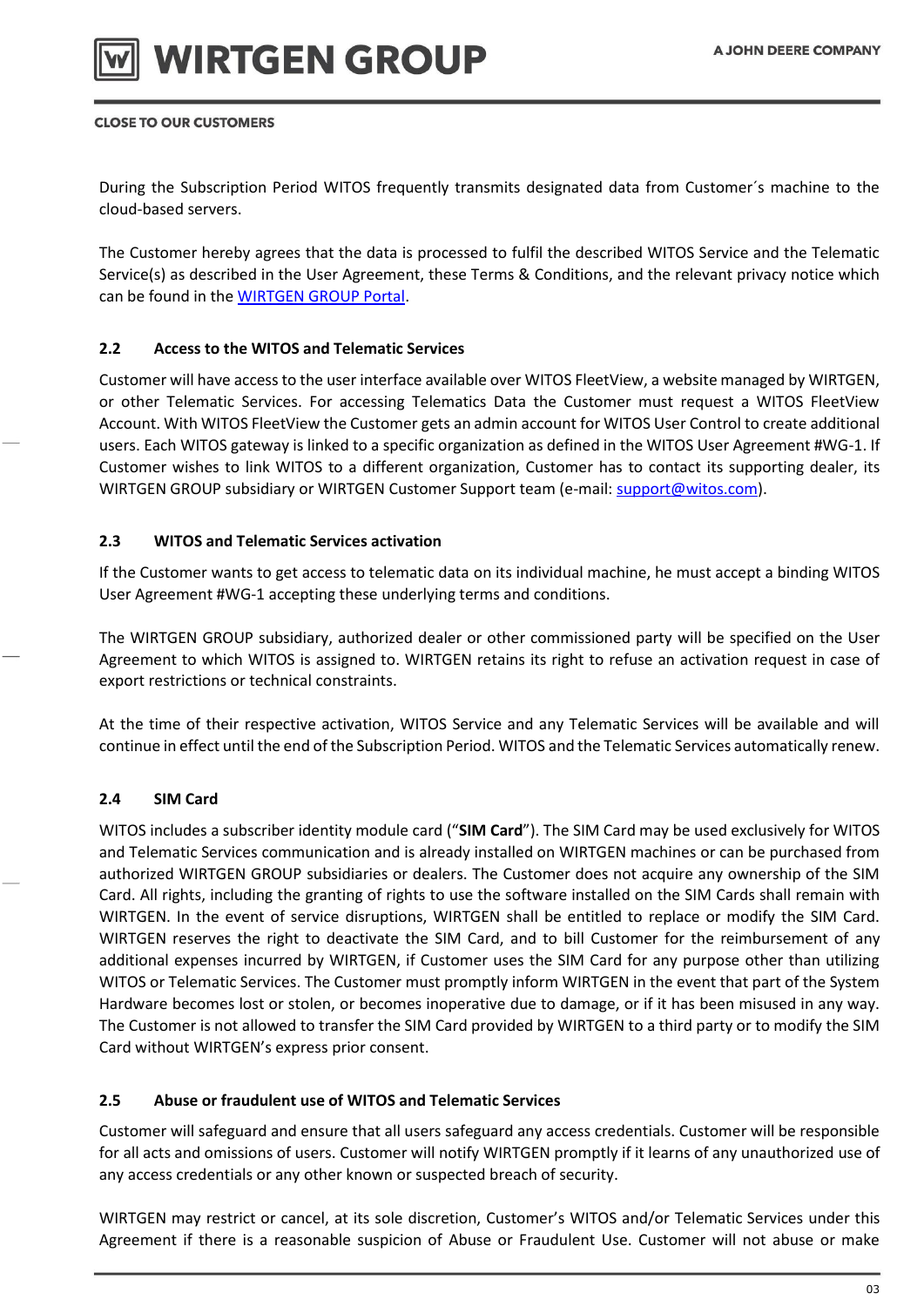

During the Subscription Period WITOS frequently transmits designated data from Customer´s machine to the cloud-based servers.

The Customer hereby agrees that the data is processed to fulfil the described WITOS Service and the Telematic Service(s) as described in the User Agreement, these Terms & Conditions, and the relevant privacy notice which can be found in the [WIRTGEN GROUP Portal.](https://news.cdn.wirtgen-group.com/witos_license_docs)

## **2.2 Access to the WITOS and Telematic Services**

Customer will have access to the user interface available over WITOS FleetView, a website managed by WIRTGEN, or other Telematic Services. For accessing Telematics Data the Customer must request a WITOS FleetView Account. With WITOS FleetView the Customer gets an admin account for WITOS User Control to create additional users. Each WITOS gateway is linked to a specific organization as defined in the WITOS User Agreement #WG-1. If Customer wishes to link WITOS to a different organization, Customer has to contact its supporting dealer, its WIRTGEN GROUP subsidiary or WIRTGEN Customer Support team (e-mail: [support@witos.com\)](mailto:support@witos.com).

## **2.3 WITOS and Telematic Services activation**

If the Customer wants to get access to telematic data on its individual machine, he must accept a binding WITOS User Agreement #WG-1 accepting these underlying terms and conditions.

The WIRTGEN GROUP subsidiary, authorized dealer or other commissioned party will be specified on the User Agreement to which WITOS is assigned to. WIRTGEN retains its right to refuse an activation request in case of export restrictions or technical constraints.

At the time of their respective activation, WITOS Service and any Telematic Services will be available and will continue in effect until the end of the Subscription Period. WITOS and the Telematic Services automatically renew.

## **2.4 SIM Card**

WITOS includes a subscriber identity module card ("**SIM Card**"). The SIM Card may be used exclusively for WITOS and Telematic Services communication and is already installed on WIRTGEN machines or can be purchased from authorized WIRTGEN GROUP subsidiaries or dealers. The Customer does not acquire any ownership of the SIM Card. All rights, including the granting of rights to use the software installed on the SIM Cards shall remain with WIRTGEN. In the event of service disruptions, WIRTGEN shall be entitled to replace or modify the SIM Card. WIRTGEN reserves the right to deactivate the SIM Card, and to bill Customer for the reimbursement of any additional expenses incurred by WIRTGEN, if Customer uses the SIM Card for any purpose other than utilizing WITOS or Telematic Services. The Customer must promptly inform WIRTGEN in the event that part of the System Hardware becomes lost or stolen, or becomes inoperative due to damage, or if it has been misused in any way. The Customer is not allowed to transfer the SIM Card provided by WIRTGEN to a third party or to modify the SIM Card without WIRTGEN's express prior consent.

## **2.5 Abuse or fraudulent use of WITOS and Telematic Services**

Customer will safeguard and ensure that all users safeguard any access credentials. Customer will be responsible for all acts and omissions of users. Customer will notify WIRTGEN promptly if it learns of any unauthorized use of any access credentials or any other known or suspected breach of security.

WIRTGEN may restrict or cancel, at its sole discretion, Customer's WITOS and/or Telematic Services under this Agreement if there is a reasonable suspicion of Abuse or Fraudulent Use. Customer will not abuse or make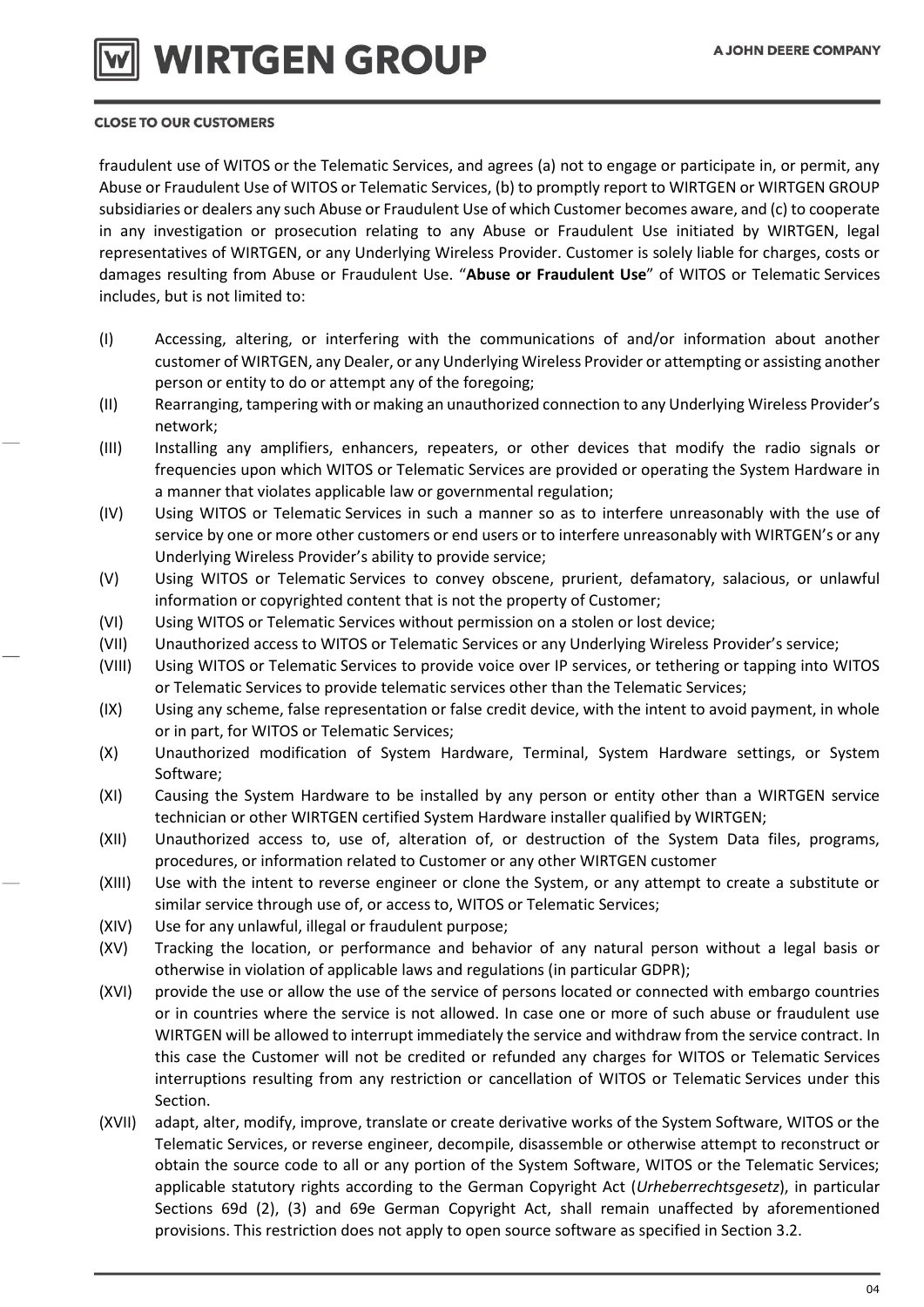

fraudulent use of WITOS or the Telematic Services, and agrees (a) not to engage or participate in, or permit, any Abuse or Fraudulent Use of WITOS or Telematic Services, (b) to promptly report to WIRTGEN or WIRTGEN GROUP subsidiaries or dealers any such Abuse or Fraudulent Use of which Customer becomes aware, and (c) to cooperate in any investigation or prosecution relating to any Abuse or Fraudulent Use initiated by WIRTGEN, legal representatives of WIRTGEN, or any Underlying Wireless Provider. Customer is solely liable for charges, costs or damages resulting from Abuse or Fraudulent Use. "**Abuse or Fraudulent Use**" of WITOS or Telematic Services includes, but is not limited to:

- (I) Accessing, altering, or interfering with the communications of and/or information about another customer of WIRTGEN, any Dealer, or any Underlying Wireless Provider or attempting or assisting another person or entity to do or attempt any of the foregoing;
- (II) Rearranging, tampering with or making an unauthorized connection to any Underlying Wireless Provider's network;
- (III) Installing any amplifiers, enhancers, repeaters, or other devices that modify the radio signals or frequencies upon which WITOS or Telematic Services are provided or operating the System Hardware in a manner that violates applicable law or governmental regulation;
- (IV) Using WITOS or Telematic Services in such a manner so as to interfere unreasonably with the use of service by one or more other customers or end users or to interfere unreasonably with WIRTGEN's or any Underlying Wireless Provider's ability to provide service;
- (V) Using WITOS or Telematic Services to convey obscene, prurient, defamatory, salacious, or unlawful information or copyrighted content that is not the property of Customer;
- (VI) Using WITOS or Telematic Services without permission on a stolen or lost device;
- (VII) Unauthorized access to WITOS or Telematic Services or any Underlying Wireless Provider's service;
- (VIII) Using WITOS or Telematic Services to provide voice over IP services, or tethering or tapping into WITOS or Telematic Services to provide telematic services other than the Telematic Services;
- (IX) Using any scheme, false representation or false credit device, with the intent to avoid payment, in whole or in part, for WITOS or Telematic Services;
- (X) Unauthorized modification of System Hardware, Terminal, System Hardware settings, or System Software;
- (XI) Causing the System Hardware to be installed by any person or entity other than a WIRTGEN service technician or other WIRTGEN certified System Hardware installer qualified by WIRTGEN;
- (XII) Unauthorized access to, use of, alteration of, or destruction of the System Data files, programs, procedures, or information related to Customer or any other WIRTGEN customer
- (XIII) Use with the intent to reverse engineer or clone the System, or any attempt to create a substitute or similar service through use of, or access to, WITOS or Telematic Services;
- (XIV) Use for any unlawful, illegal or fraudulent purpose;
- (XV) Tracking the location, or performance and behavior of any natural person without a legal basis or otherwise in violation of applicable laws and regulations (in particular GDPR);
- (XVI) provide the use or allow the use of the service of persons located or connected with embargo countries or in countries where the service is not allowed. In case one or more of such abuse or fraudulent use WIRTGEN will be allowed to interrupt immediately the service and withdraw from the service contract. In this case the Customer will not be credited or refunded any charges for WITOS or Telematic Services interruptions resulting from any restriction or cancellation of WITOS or Telematic Services under this Section.
- (XVII) adapt, alter, modify, improve, translate or create derivative works of the System Software, WITOS or the Telematic Services, or reverse engineer, decompile, disassemble or otherwise attempt to reconstruct or obtain the source code to all or any portion of the System Software, WITOS or the Telematic Services; applicable statutory rights according to the German Copyright Act (*Urheberrechtsgesetz*), in particular Sections 69d (2), (3) and 69e German Copyright Act, shall remain unaffected by aforementioned provisions. This restriction does not apply to open source software as specified in Section 3.2.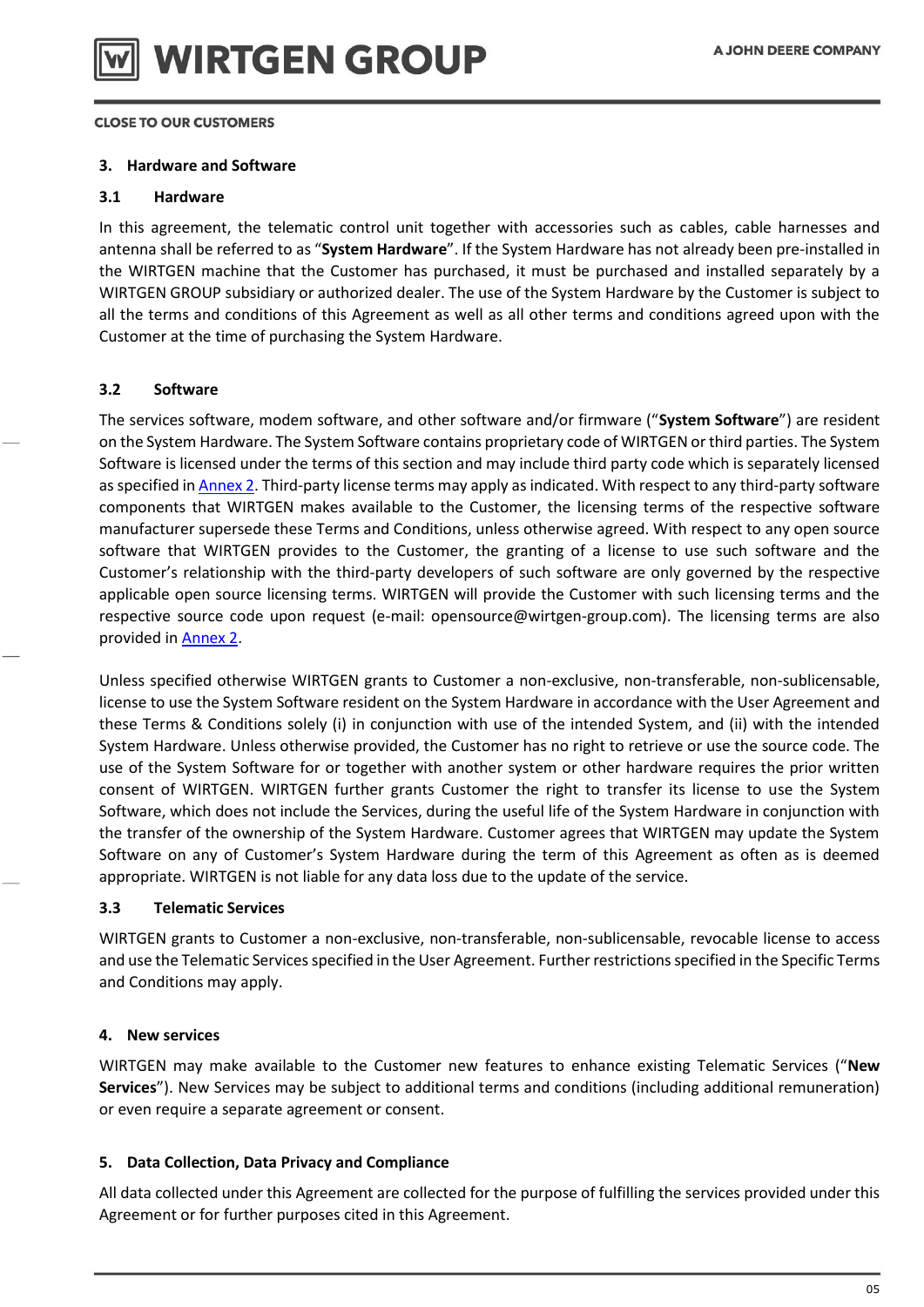

## **3. Hardware and Software**

#### **3.1 Hardware**

In this agreement, the telematic control unit together with accessories such as cables, cable harnesses and antenna shall be referred to as "**System Hardware**". If the System Hardware has not already been pre-installed in the WIRTGEN machine that the Customer has purchased, it must be purchased and installed separately by a WIRTGEN GROUP subsidiary or authorized dealer. The use of the System Hardware by the Customer is subject to all the terms and conditions of this Agreement as well as all other terms and conditions agreed upon with the Customer at the time of purchasing the System Hardware.

## **3.2 Software**

The services software, modem software, and other software and/or firmware ("**System Software**") are resident on the System Hardware. The System Software contains proprietary code of WIRTGEN or third parties. The System Software is licensed under the terms of this section and may include third party code which is separately licensed as specified in [Annex 2.](https://news.cdn.wirtgen-group.com/witos_license_docs) Third-party license terms may apply as indicated. With respect to any third-party software components that WIRTGEN makes available to the Customer, the licensing terms of the respective software manufacturer supersede these Terms and Conditions, unless otherwise agreed. With respect to any open source software that WIRTGEN provides to the Customer, the granting of a license to use such software and the Customer's relationship with the third-party developers of such software are only governed by the respective applicable open source licensing terms. WIRTGEN will provide the Customer with such licensing terms and the respective source code upon request (e-mail: opensource@wirtgen-group.com). The licensing terms are also provided in [Annex 2.](https://news.cdn.wirtgen-group.com/witos_license_docs)

Unless specified otherwise WIRTGEN grants to Customer a non-exclusive, non-transferable, non-sublicensable, license to use the System Software resident on the System Hardware in accordance with the User Agreement and these Terms & Conditions solely (i) in conjunction with use of the intended System, and (ii) with the intended System Hardware. Unless otherwise provided, the Customer has no right to retrieve or use the source code. The use of the System Software for or together with another system or other hardware requires the prior written consent of WIRTGEN. WIRTGEN further grants Customer the right to transfer its license to use the System Software, which does not include the Services, during the useful life of the System Hardware in conjunction with the transfer of the ownership of the System Hardware. Customer agrees that WIRTGEN may update the System Software on any of Customer's System Hardware during the term of this Agreement as often as is deemed appropriate. WIRTGEN is not liable for any data loss due to the update of the service.

## **3.3 Telematic Services**

WIRTGEN grants to Customer a non-exclusive, non-transferable, non-sublicensable, revocable license to access and use the Telematic Services specified in the User Agreement. Further restrictions specified in the Specific Terms and Conditions may apply.

## **4. New services**

WIRTGEN may make available to the Customer new features to enhance existing Telematic Services ("**New Services**"). New Services may be subject to additional terms and conditions (including additional remuneration) or even require a separate agreement or consent.

## **5. Data Collection, Data Privacy and Compliance**

All data collected under this Agreement are collected for the purpose of fulfilling the services provided under this Agreement or for further purposes cited in this Agreement.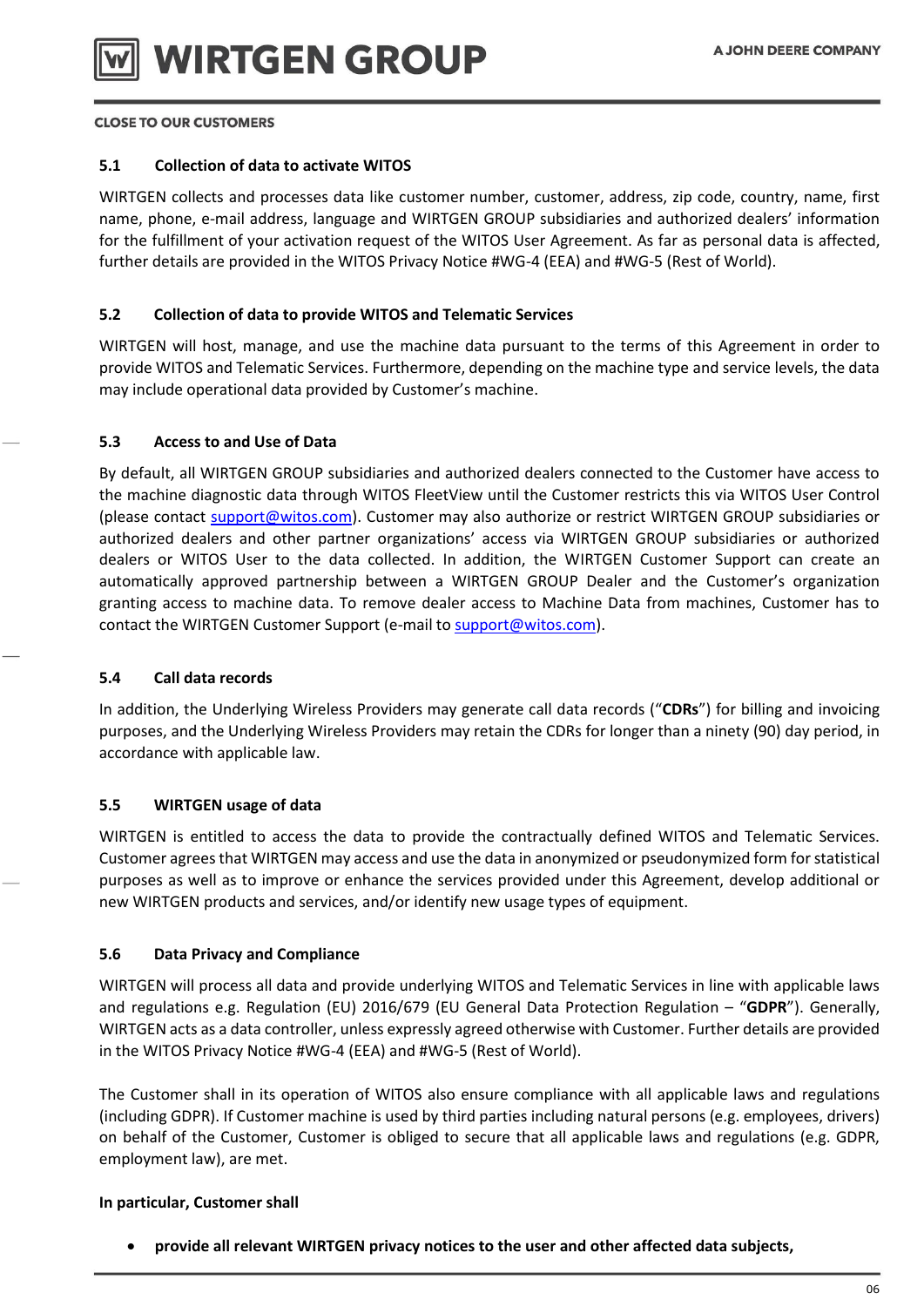

## **5.1 Collection of data to activate WITOS**

WIRTGEN collects and processes data like customer number, customer, address, zip code, country, name, first name, phone, e-mail address, language and WIRTGEN GROUP subsidiaries and authorized dealers' information for the fulfillment of your activation request of the WITOS User Agreement. As far as personal data is affected, further details are provided in the WITOS Privacy Notice #WG-4 (EEA) and #WG-5 (Rest of World).

## **5.2 Collection of data to provide WITOS and Telematic Services**

WIRTGEN will host, manage, and use the machine data pursuant to the terms of this Agreement in order to provide WITOS and Telematic Services. Furthermore, depending on the machine type and service levels, the data may include operational data provided by Customer's machine.

## **5.3 Access to and Use of Data**

By default, all WIRTGEN GROUP subsidiaries and authorized dealers connected to the Customer have access to the machine diagnostic data through WITOS FleetView until the Customer restricts this via WITOS User Control (please contact [support@witos.com\)](mailto:support@witos.com). Customer may also authorize or restrict WIRTGEN GROUP subsidiaries or authorized dealers and other partner organizations' access via WIRTGEN GROUP subsidiaries or authorized dealers or WITOS User to the data collected. In addition, the WIRTGEN Customer Support can create an automatically approved partnership between a WIRTGEN GROUP Dealer and the Customer's organization granting access to machine data. To remove dealer access to Machine Data from machines, Customer has to contact the WIRTGEN Customer Support (e-mail to [support@witos.com\)](mailto:support@witos.com).

## **5.4 Call data records**

In addition, the Underlying Wireless Providers may generate call data records ("**CDRs**") for billing and invoicing purposes, and the Underlying Wireless Providers may retain the CDRs for longer than a ninety (90) day period, in accordance with applicable law.

## **5.5 WIRTGEN usage of data**

WIRTGEN is entitled to access the data to provide the contractually defined WITOS and Telematic Services. Customer agrees that WIRTGEN may access and use the data in anonymized or pseudonymized form for statistical purposes as well as to improve or enhance the services provided under this Agreement, develop additional or new WIRTGEN products and services, and/or identify new usage types of equipment.

## **5.6 Data Privacy and Compliance**

WIRTGEN will process all data and provide underlying WITOS and Telematic Services in line with applicable laws and regulations e.g. Regulation (EU) 2016/679 (EU General Data Protection Regulation – "**GDPR**"). Generally, WIRTGEN acts as a data controller, unless expressly agreed otherwise with Customer. Further details are provided in the WITOS Privacy Notice #WG-4 (EEA) and #WG-5 (Rest of World).

The Customer shall in its operation of WITOS also ensure compliance with all applicable laws and regulations (including GDPR). If Customer machine is used by third parties including natural persons (e.g. employees, drivers) on behalf of the Customer, Customer is obliged to secure that all applicable laws and regulations (e.g. GDPR, employment law), are met.

## **In particular, Customer shall**

**provide all relevant WIRTGEN privacy notices to the user and other affected data subjects,**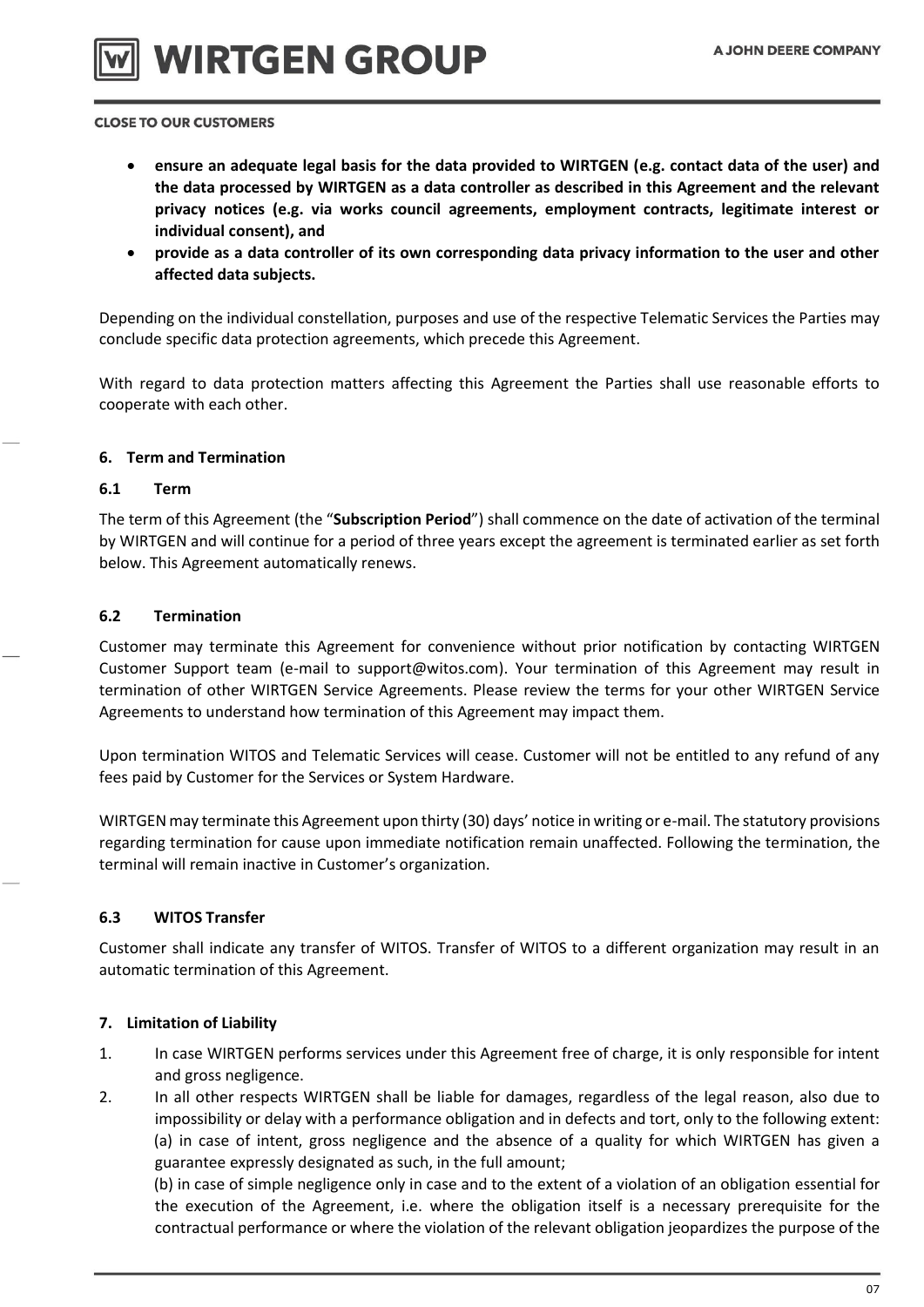



- **ensure an adequate legal basis for the data provided to WIRTGEN (e.g. contact data of the user) and the data processed by WIRTGEN as a data controller as described in this Agreement and the relevant privacy notices (e.g. via works council agreements, employment contracts, legitimate interest or individual consent), and**
- **provide as a data controller of its own corresponding data privacy information to the user and other affected data subjects.**

Depending on the individual constellation, purposes and use of the respective Telematic Services the Parties may conclude specific data protection agreements, which precede this Agreement.

With regard to data protection matters affecting this Agreement the Parties shall use reasonable efforts to cooperate with each other.

## **6. Term and Termination**

## **6.1 Term**

The term of this Agreement (the "**Subscription Period**") shall commence on the date of activation of the terminal by WIRTGEN and will continue for a period of three years except the agreement is terminated earlier as set forth below. This Agreement automatically renews.

## **6.2 Termination**

Customer may terminate this Agreement for convenience without prior notification by contacting WIRTGEN Customer Support team (e-mail to support@witos.com). Your termination of this Agreement may result in termination of other WIRTGEN Service Agreements. Please review the terms for your other WIRTGEN Service Agreements to understand how termination of this Agreement may impact them.

Upon termination WITOS and Telematic Services will cease. Customer will not be entitled to any refund of any fees paid by Customer for the Services or System Hardware.

WIRTGEN may terminate this Agreement upon thirty (30) days' notice in writing or e-mail. The statutory provisions regarding termination for cause upon immediate notification remain unaffected. Following the termination, the terminal will remain inactive in Customer's organization.

## **6.3 WITOS Transfer**

Customer shall indicate any transfer of WITOS. Transfer of WITOS to a different organization may result in an automatic termination of this Agreement.

## **7. Limitation of Liability**

- 1. In case WIRTGEN performs services under this Agreement free of charge, it is only responsible for intent and gross negligence.
- 2. In all other respects WIRTGEN shall be liable for damages, regardless of the legal reason, also due to impossibility or delay with a performance obligation and in defects and tort, only to the following extent: (a) in case of intent, gross negligence and the absence of a quality for which WIRTGEN has given a guarantee expressly designated as such, in the full amount;

(b) in case of simple negligence only in case and to the extent of a violation of an obligation essential for the execution of the Agreement, i.e. where the obligation itself is a necessary prerequisite for the contractual performance or where the violation of the relevant obligation jeopardizes the purpose of the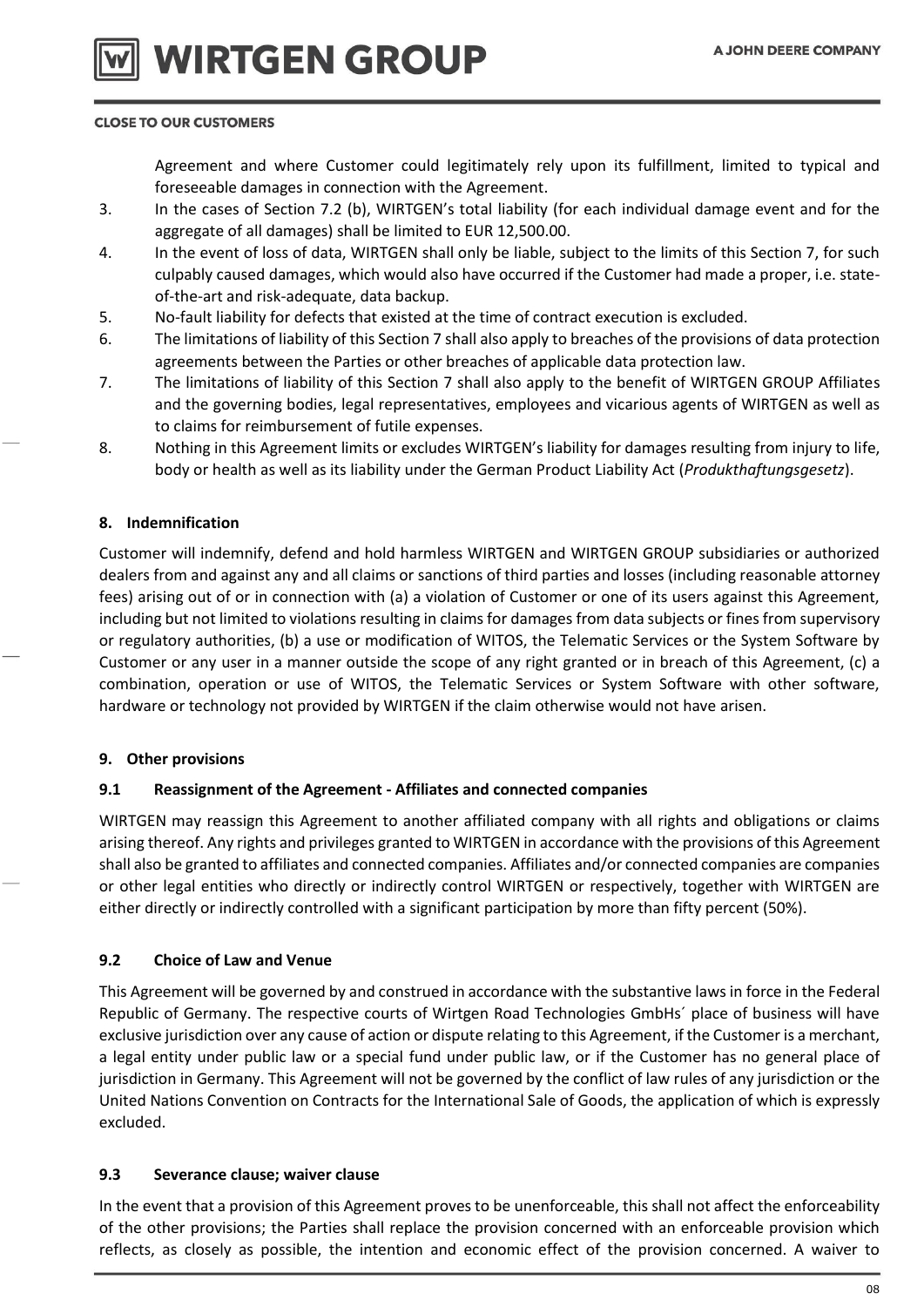Agreement and where Customer could legitimately rely upon its fulfillment, limited to typical and foreseeable damages in connection with the Agreement.

- 3. In the cases of Section 7.2 (b), WIRTGEN's total liability (for each individual damage event and for the aggregate of all damages) shall be limited to EUR 12,500.00.
- 4. In the event of loss of data, WIRTGEN shall only be liable, subject to the limits of this Section 7, for such culpably caused damages, which would also have occurred if the Customer had made a proper, i.e. stateof-the-art and risk-adequate, data backup.
- 5. No-fault liability for defects that existed at the time of contract execution is excluded.
- 6. The limitations of liability of this Section 7 shall also apply to breaches of the provisions of data protection agreements between the Parties or other breaches of applicable data protection law.
- 7. The limitations of liability of this Section 7 shall also apply to the benefit of WIRTGEN GROUP Affiliates and the governing bodies, legal representatives, employees and vicarious agents of WIRTGEN as well as to claims for reimbursement of futile expenses.
- 8. Nothing in this Agreement limits or excludes WIRTGEN's liability for damages resulting from injury to life, body or health as well as its liability under the German Product Liability Act (*Produkthaftungsgesetz*).

## **8. Indemnification**

Customer will indemnify, defend and hold harmless WIRTGEN and WIRTGEN GROUP subsidiaries or authorized dealers from and against any and all claims or sanctions of third parties and losses (including reasonable attorney fees) arising out of or in connection with (a) a violation of Customer or one of its users against this Agreement, including but not limited to violations resulting in claims for damages from data subjects or fines from supervisory or regulatory authorities, (b) a use or modification of WITOS, the Telematic Services or the System Software by Customer or any user in a manner outside the scope of any right granted or in breach of this Agreement, (c) a combination, operation or use of WITOS, the Telematic Services or System Software with other software, hardware or technology not provided by WIRTGEN if the claim otherwise would not have arisen.

## **9. Other provisions**

## **9.1 Reassignment of the Agreement - Affiliates and connected companies**

WIRTGEN may reassign this Agreement to another affiliated company with all rights and obligations or claims arising thereof. Any rights and privileges granted to WIRTGEN in accordance with the provisions of this Agreement shall also be granted to affiliates and connected companies. Affiliates and/or connected companies are companies or other legal entities who directly or indirectly control WIRTGEN or respectively, together with WIRTGEN are either directly or indirectly controlled with a significant participation by more than fifty percent (50%).

## **9.2 Choice of Law and Venue**

This Agreement will be governed by and construed in accordance with the substantive laws in force in the Federal Republic of Germany. The respective courts of Wirtgen Road Technologies GmbHs´ place of business will have exclusive jurisdiction over any cause of action or dispute relating to this Agreement, if the Customer is a merchant, a legal entity under public law or a special fund under public law, or if the Customer has no general place of jurisdiction in Germany. This Agreement will not be governed by the conflict of law rules of any jurisdiction or the United Nations Convention on Contracts for the International Sale of Goods, the application of which is expressly excluded.

## **9.3 Severance clause; waiver clause**

In the event that a provision of this Agreement proves to be unenforceable, this shall not affect the enforceability of the other provisions; the Parties shall replace the provision concerned with an enforceable provision which reflects, as closely as possible, the intention and economic effect of the provision concerned. A waiver to